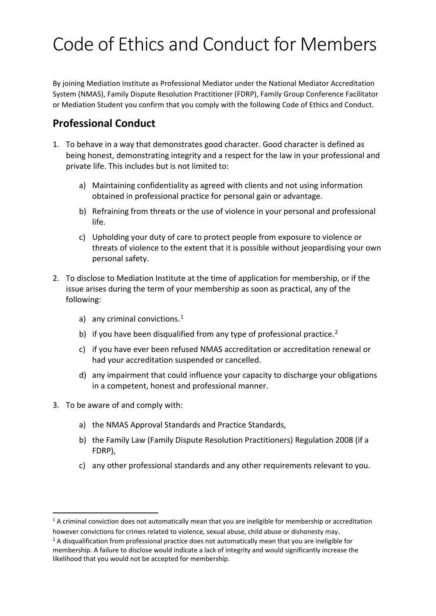# Code of Ethics and Conduct for Members

By joining Mediation Institute as Professional Mediator under the National Mediator Accreditation System (NMAS), Family Dispute Resolution Practitioner (FDRP), Family Group Conference Facilitator or Mediation Student you confirm that you comply with the following Code of Ethics and Conduct.

## **Professional Conduct**

- 1. To behave in a way that demonstrates good character. Good character is defined as being honest, demonstrating integrity and a respect for the law in your professional and private life. This includes but is not limited to:
	- a) Maintaining confidentiality as agreed with clients and not using information obtained in professional practice for personal gain or advantage.
	- b) Refraining from threats or the use of violence in your personal and professional life.
	- c) Upholding your duty of care to protect people from exposure to violence or threats of violence to the extent that it is possible without jeopardising your own personal safety.
- 2. To disclose to Mediation Institute at the time of application for membership, or if the issue arises during the term of your membership as soon as practical, any of the following:
	- a) any criminal convictions.<sup>[1](#page-0-0)</sup>
	- b) if you have been disqualified from any type of professional practice.<sup>[2](#page-0-1)</sup>
	- c) if you have ever been refused NMAS accreditation or accreditation renewal or had your accreditation suspended or cancelled.
	- d) any impairment that could influence your capacity to discharge your obligations in a competent, honest and professional manner.
- 3. To be aware of and comply with:

<u>.</u>

- a) the NMAS Approval Standards and Practice Standards,
- b) the Family Law (Family Dispute Resolution Practitioners) Regulation 2008 (if a FDRP),
- c) any other professional standards and any other requirements relevant to you.

<span id="page-0-0"></span><sup>&</sup>lt;sup>1</sup> A criminal conviction does not automatically mean that you are ineligible for membership or accreditation however convictions for crimes related to violence, sexual abuse, child abuse or dishonesty may.

<span id="page-0-1"></span> $2$  A disqualification from professional practice does not automatically mean that you are ineligible for membership. A failure to disclose would indicate a lack of integrity and would significantly increase the likelihood that you would not be accepted for membership.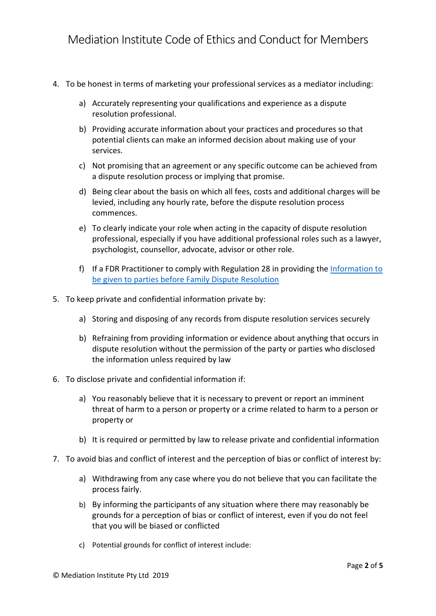- 4. To be honest in terms of marketing your professional services as a mediator including:
	- a) Accurately representing your qualifications and experience as a dispute resolution professional.
	- b) Providing accurate information about your practices and procedures so that potential clients can make an informed decision about making use of your services.
	- c) Not promising that an agreement or any specific outcome can be achieved from a dispute resolution process or implying that promise.
	- d) Being clear about the basis on which all fees, costs and additional charges will be levied, including any hourly rate, before the dispute resolution process commences.
	- e) To clearly indicate your role when acting in the capacity of dispute resolution professional, especially if you have additional professional roles such as a lawyer, psychologist, counsellor, advocate, advisor or other role.
	- f) If a FDR Practitioner to comply with Regulation 28 in providing the Information to [be given to parties before Family Dispute Resolution](http://www5.austlii.edu.au/au/legis/cth/consol_reg/fldrpr2008662/s28.html)
- 5. To keep private and confidential information private by:
	- a) Storing and disposing of any records from dispute resolution services securely
	- b) Refraining from providing information or evidence about anything that occurs in dispute resolution without the permission of the party or parties who disclosed the information unless required by law
- 6. To disclose private and confidential information if:
	- a) You reasonably believe that it is necessary to prevent or report an imminent threat of harm to a person or property or a crime related to harm to a person or property or
	- b) It is required or permitted by law to release private and confidential information
- 7. To avoid bias and conflict of interest and the perception of bias or conflict of interest by:
	- a) Withdrawing from any case where you do not believe that you can facilitate the process fairly.
	- b) By informing the participants of any situation where there may reasonably be grounds for a perception of bias or conflict of interest, even if you do not feel that you will be biased or conflicted
	- c) Potential grounds for conflict of interest include: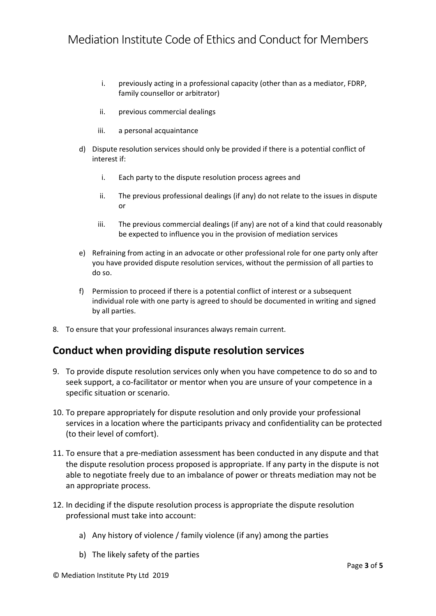- i. previously acting in a professional capacity (other than as a mediator, FDRP, family counsellor or arbitrator)
- ii. previous commercial dealings
- iii. a personal acquaintance
- d) Dispute resolution services should only be provided if there is a potential conflict of interest if:
	- i. Each party to the dispute resolution process agrees and
	- ii. The previous professional dealings (if any) do not relate to the issues in dispute or
	- iii. The previous commercial dealings (if any) are not of a kind that could reasonably be expected to influence you in the provision of mediation services
- e) Refraining from acting in an advocate or other professional role for one party only after you have provided dispute resolution services, without the permission of all parties to do so.
- f) Permission to proceed if there is a potential conflict of interest or a subsequent individual role with one party is agreed to should be documented in writing and signed by all parties.
- 8. To ensure that your professional insurances always remain current.

#### **Conduct when providing dispute resolution services**

- 9. To provide dispute resolution services only when you have competence to do so and to seek support, a co-facilitator or mentor when you are unsure of your competence in a specific situation or scenario.
- 10. To prepare appropriately for dispute resolution and only provide your professional services in a location where the participants privacy and confidentiality can be protected (to their level of comfort).
- 11. To ensure that a pre-mediation assessment has been conducted in any dispute and that the dispute resolution process proposed is appropriate. If any party in the dispute is not able to negotiate freely due to an imbalance of power or threats mediation may not be an appropriate process.
- 12. In deciding if the dispute resolution process is appropriate the dispute resolution professional must take into account:
	- a) Any history of violence / family violence (if any) among the parties
	- b) The likely safety of the parties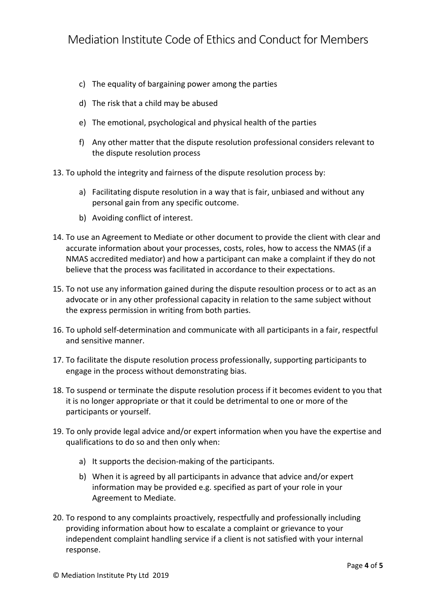- c) The equality of bargaining power among the parties
- d) The risk that a child may be abused
- e) The emotional, psychological and physical health of the parties
- f) Any other matter that the dispute resolution professional considers relevant to the dispute resolution process
- 13. To uphold the integrity and fairness of the dispute resolution process by:
	- a) Facilitating dispute resolution in a way that is fair, unbiased and without any personal gain from any specific outcome.
	- b) Avoiding conflict of interest.
- 14. To use an Agreement to Mediate or other document to provide the client with clear and accurate information about your processes, costs, roles, how to access the NMAS (if a NMAS accredited mediator) and how a participant can make a complaint if they do not believe that the process was facilitated in accordance to their expectations.
- 15. To not use any information gained during the dispute resoultion process or to act as an advocate or in any other professional capacity in relation to the same subject without the express permission in writing from both parties.
- 16. To uphold self-determination and communicate with all participants in a fair, respectful and sensitive manner.
- 17. To facilitate the dispute resolution process professionally, supporting participants to engage in the process without demonstrating bias.
- 18. To suspend or terminate the dispute resolution process if it becomes evident to you that it is no longer appropriate or that it could be detrimental to one or more of the participants or yourself.
- 19. To only provide legal advice and/or expert information when you have the expertise and qualifications to do so and then only when:
	- a) It supports the decision-making of the participants.
	- b) When it is agreed by all participants in advance that advice and/or expert information may be provided e.g. specified as part of your role in your Agreement to Mediate.
- 20. To respond to any complaints proactively, respectfully and professionally including providing information about how to escalate a complaint or grievance to your independent complaint handling service if a client is not satisfied with your internal response.